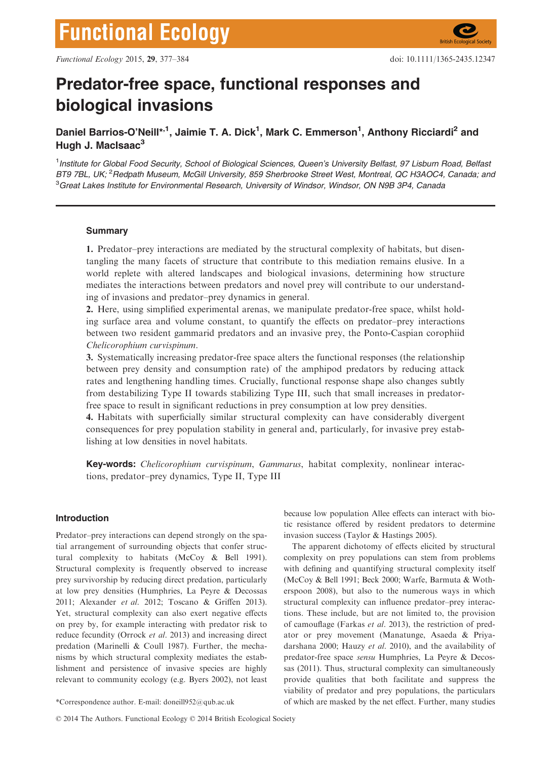# Predator-free space, functional responses and biological invasions

Daniel Barrios-O'Neill\*<sup>,1</sup>, Jaimie T. A. Dick<sup>1</sup>, Mark C. Emmerson<sup>1</sup>, Anthony Ricciardi<sup>2</sup> and Hugh J. MacIsaac<sup>3</sup>

<sup>1</sup>Institute for Global Food Security, School of Biological Sciences, Queen's University Belfast, 97 Lisburn Road, Belfasi BT9 7BL, UK; <sup>2</sup>Redpath Museum, McGill University, 859 Sherbrooke Street West, Montreal, QC H3AOC4, Canada; and  ${}^{3}$ Great Lakes Institute for Environmental Research, University of Windsor, Windsor, ON N9B 3P4, Canada

## **Summary**

1. Predator–prey interactions are mediated by the structural complexity of habitats, but disentangling the many facets of structure that contribute to this mediation remains elusive. In a world replete with altered landscapes and biological invasions, determining how structure mediates the interactions between predators and novel prey will contribute to our understanding of invasions and predator–prey dynamics in general.

2. Here, using simplified experimental arenas, we manipulate predator-free space, whilst holding surface area and volume constant, to quantify the effects on predator–prey interactions between two resident gammarid predators and an invasive prey, the Ponto-Caspian corophiid Chelicorophium curvispinum.

3. Systematically increasing predator-free space alters the functional responses (the relationship between prey density and consumption rate) of the amphipod predators by reducing attack rates and lengthening handling times. Crucially, functional response shape also changes subtly from destabilizing Type II towards stabilizing Type III, such that small increases in predatorfree space to result in significant reductions in prey consumption at low prey densities.

4. Habitats with superficially similar structural complexity can have considerably divergent consequences for prey population stability in general and, particularly, for invasive prey establishing at low densities in novel habitats.

Key-words: Chelicorophium curvispinum, Gammarus, habitat complexity, nonlinear interactions, predator–prey dynamics, Type II, Type III

## Introduction

Predator–prey interactions can depend strongly on the spatial arrangement of surrounding objects that confer structural complexity to habitats (McCoy & Bell 1991). Structural complexity is frequently observed to increase prey survivorship by reducing direct predation, particularly at low prey densities (Humphries, La Peyre & Decossas 2011; Alexander et al. 2012; Toscano & Griffen 2013). Yet, structural complexity can also exert negative effects on prey by, for example interacting with predator risk to reduce fecundity (Orrock et al. 2013) and increasing direct predation (Marinelli & Coull 1987). Further, the mechanisms by which structural complexity mediates the establishment and persistence of invasive species are highly relevant to community ecology (e.g. Byers 2002), not least

© 2014 The Authors. Functional Ecology © 2014 British Ecological Society

because low population Allee effects can interact with biotic resistance offered by resident predators to determine invasion success (Taylor & Hastings 2005).

The apparent dichotomy of effects elicited by structural complexity on prey populations can stem from problems with defining and quantifying structural complexity itself (McCoy & Bell 1991; Beck 2000; Warfe, Barmuta & Wotherspoon 2008), but also to the numerous ways in which structural complexity can influence predator–prey interactions. These include, but are not limited to, the provision of camouflage (Farkas et al. 2013), the restriction of predator or prey movement (Manatunge, Asaeda & Priyadarshana 2000; Hauzy et al. 2010), and the availability of predator-free space sensu Humphries, La Peyre & Decossas (2011). Thus, structural complexity can simultaneously provide qualities that both facilitate and suppress the viability of predator and prey populations, the particulars \*Correspondence author. E-mail: doneill952@qub.ac.uk of which are masked by the net effect. Further, many studies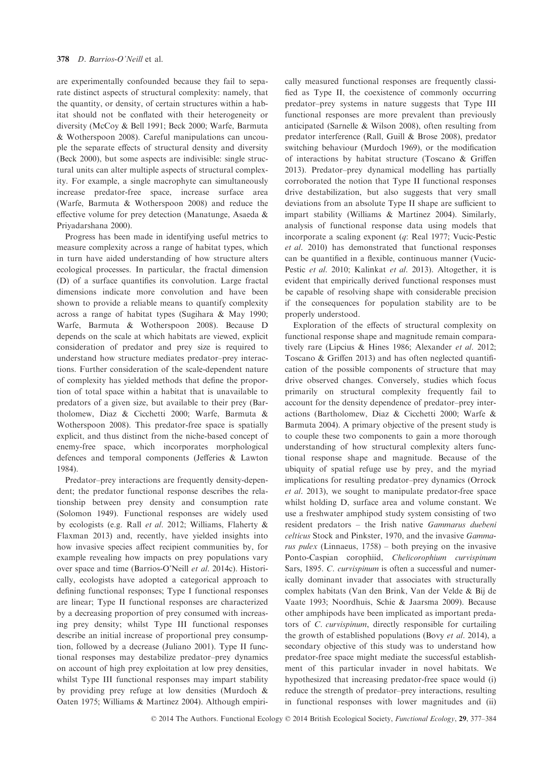are experimentally confounded because they fail to separate distinct aspects of structural complexity: namely, that the quantity, or density, of certain structures within a habitat should not be conflated with their heterogeneity or diversity (McCoy & Bell 1991; Beck 2000; Warfe, Barmuta & Wotherspoon 2008). Careful manipulations can uncouple the separate effects of structural density and diversity (Beck 2000), but some aspects are indivisible: single structural units can alter multiple aspects of structural complexity. For example, a single macrophyte can simultaneously increase predator-free space, increase surface area (Warfe, Barmuta & Wotherspoon 2008) and reduce the effective volume for prey detection (Manatunge, Asaeda & Priyadarshana 2000).

Progress has been made in identifying useful metrics to measure complexity across a range of habitat types, which in turn have aided understanding of how structure alters ecological processes. In particular, the fractal dimension (D) of a surface quantifies its convolution. Large fractal dimensions indicate more convolution and have been shown to provide a reliable means to quantify complexity across a range of habitat types (Sugihara & May 1990; Warfe, Barmuta & Wotherspoon 2008). Because D depends on the scale at which habitats are viewed, explicit consideration of predator and prey size is required to understand how structure mediates predator–prey interactions. Further consideration of the scale-dependent nature of complexity has yielded methods that define the proportion of total space within a habitat that is unavailable to predators of a given size, but available to their prey (Bartholomew, Diaz & Cicchetti 2000; Warfe, Barmuta & Wotherspoon 2008). This predator-free space is spatially explicit, and thus distinct from the niche-based concept of enemy-free space, which incorporates morphological defences and temporal components (Jefferies & Lawton 1984).

Predator–prey interactions are frequently density-dependent; the predator functional response describes the relationship between prey density and consumption rate (Solomon 1949). Functional responses are widely used by ecologists (e.g. Rall et al. 2012; Williams, Flaherty & Flaxman 2013) and, recently, have yielded insights into how invasive species affect recipient communities by, for example revealing how impacts on prey populations vary over space and time (Barrios-O'Neill et al. 2014c). Historically, ecologists have adopted a categorical approach to defining functional responses; Type I functional responses are linear; Type II functional responses are characterized by a decreasing proportion of prey consumed with increasing prey density; whilst Type III functional responses describe an initial increase of proportional prey consumption, followed by a decrease (Juliano 2001). Type II functional responses may destabilize predator–prey dynamics on account of high prey exploitation at low prey densities, whilst Type III functional responses may impart stability by providing prey refuge at low densities (Murdoch & Oaten 1975; Williams & Martinez 2004). Although empirically measured functional responses are frequently classified as Type II, the coexistence of commonly occurring predator–prey systems in nature suggests that Type III functional responses are more prevalent than previously anticipated (Sarnelle & Wilson 2008), often resulting from predator interference (Rall, Guill & Brose 2008), predator switching behaviour (Murdoch 1969), or the modification of interactions by habitat structure (Toscano & Griffen 2013). Predator–prey dynamical modelling has partially corroborated the notion that Type II functional responses drive destabilization, but also suggests that very small deviations from an absolute Type II shape are sufficient to impart stability (Williams & Martinez 2004). Similarly, analysis of functional response data using models that incorporate a scaling exponent (q: Real 1977; Vucic-Pestic et al. 2010) has demonstrated that functional responses can be quantified in a flexible, continuous manner (Vucic-Pestic et al. 2010; Kalinkat et al. 2013). Altogether, it is evident that empirically derived functional responses must be capable of resolving shape with considerable precision if the consequences for population stability are to be properly understood.

Exploration of the effects of structural complexity on functional response shape and magnitude remain comparatively rare (Lipcius & Hines 1986; Alexander et al. 2012; Toscano & Griffen 2013) and has often neglected quantification of the possible components of structure that may drive observed changes. Conversely, studies which focus primarily on structural complexity frequently fail to account for the density dependence of predator–prey interactions (Bartholomew, Diaz & Cicchetti 2000; Warfe & Barmuta 2004). A primary objective of the present study is to couple these two components to gain a more thorough understanding of how structural complexity alters functional response shape and magnitude. Because of the ubiquity of spatial refuge use by prey, and the myriad implications for resulting predator–prey dynamics (Orrock et al. 2013), we sought to manipulate predator-free space whilst holding D, surface area and volume constant. We use a freshwater amphipod study system consisting of two resident predators – the Irish native Gammarus duebeni celticus Stock and Pinkster, 1970, and the invasive Gammarus pulex (Linnaeus,  $1758$ ) – both preying on the invasive Ponto-Caspian corophiid, Chelicorophium curvispinum Sars, 1895. C. curvispinum is often a successful and numerically dominant invader that associates with structurally complex habitats (Van den Brink, Van der Velde & Bij de Vaate 1993; Noordhuis, Schie & Jaarsma 2009). Because other amphipods have been implicated as important predators of C. curvispinum, directly responsible for curtailing the growth of established populations (Bovy et al. 2014), a secondary objective of this study was to understand how predator-free space might mediate the successful establishment of this particular invader in novel habitats. We hypothesized that increasing predator-free space would (i) reduce the strength of predator–prey interactions, resulting in functional responses with lower magnitudes and (ii)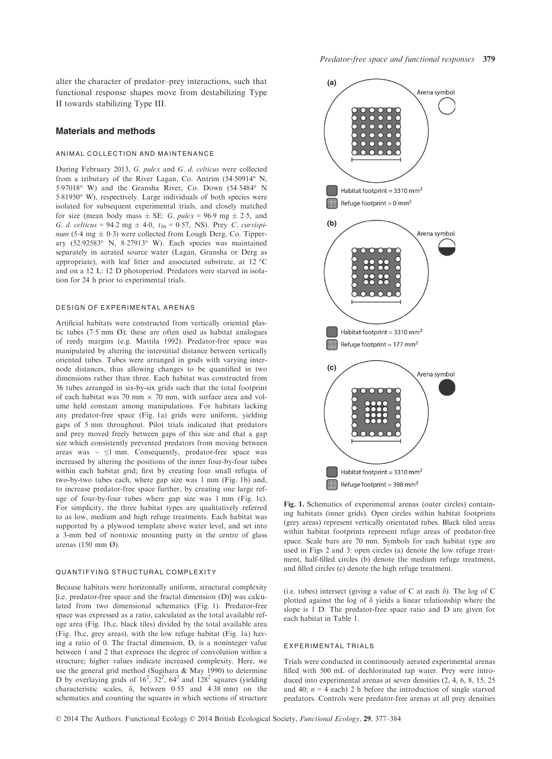alter the character of predator–prey interactions, such that functional response shapes move from destabilizing Type II towards stabilizing Type III.

### Materials and methods

## ANIMAL COLLECTION AND MAINTENANCE

During February 2013, G. pulex and G. d. celticus were collected from a tributary of the River Lagan, Co. Antrim (54.50914° N, 597018° W) and the Gransha River, Co. Down (545484° N 581950° W), respectively. Large individuals of both species were isolated for subsequent experimental trials, and closely matched for size (mean body mass  $\pm$  SE: G. pulex = 96.9 mg  $\pm$  2.5, and G. d. celticus = 94.2 mg  $\pm$  4.0, t<sub>50</sub> = 0.57, NS). Prey C. curvispinum (5.4 mg  $\pm$  0.3) were collected from Lough Derg, Co. Tipperary (5292583° N, 827913° W). Each species was maintained separately in aerated source water (Lagan, Gransha or Derg as appropriate), with leaf litter and associated substrate, at 12 °C and on a 12 L: 12 D photoperiod. Predators were starved in isolation for 24 h prior to experimental trials.

#### DESIGN OF EXPERIMENTAL ARENAS

Artificial habitats were constructed from vertically oriented plastic tubes (7.5 mm  $\varnothing$ ); these are often used as habitat analogues of reedy margins (e.g. Mattila 1992). Predator-free space was manipulated by altering the interstitial distance between vertically oriented tubes. Tubes were arranged in grids with varying internode distances, thus allowing changes to be quantified in two dimensions rather than three. Each habitat was constructed from 36 tubes arranged in six-by-six grids such that the total footprint of each habitat was 70 mm  $\times$  70 mm, with surface area and volume held constant among manipulations. For habitats lacking any predator-free space (Fig. 1a) grids were uniform, yielding gaps of 5 mm throughout. Pilot trials indicated that predators and prey moved freely between gaps of this size and that a gap size which consistently prevented predators from moving between areas was  $\sim$   $\leq$ 1 mm. Consequently, predator-free space was increased by altering the positions of the inner four-by-four tubes within each habitat grid; first by creating four small refugia of two-by-two tubes each, where gap size was 1 mm (Fig. 1b) and, to increase predator-free space further, by creating one large refuge of four-by-four tubes where gap size was 1 mm (Fig. 1c). For simplicity, the three habitat types are qualitatively referred to as low, medium and high refuge treatments. Each habitat was supported by a plywood template above water level, and set into a 3-mm bed of nontoxic mounting putty in the centre of glass arenas (150 mm Ø).

#### QUANTIFYING STRUCTURAL COMPLEXITY

Because habitats were horizontally uniform, structural complexity [i.e. predator-free space and the fractal dimension (D)] was calculated from two dimensional schematics (Fig. 1). Predator-free space was expressed as a ratio, calculated as the total available refuge area (Fig. 1b,c, black tiles) divided by the total available area (Fig. 1b,c, grey areas), with the low refuge habitat (Fig. 1a) having a ratio of 0. The fractal dimension, D, is a noninteger value between 1 and 2 that expresses the degree of convolution within a structure; higher values indicate increased complexity. Here, we use the general grid method (Sugihara & May 1990) to determine D by overlaying grids of  $16^2$ ,  $32^2$ ,  $64^2$  and  $128^2$  squares (yielding characteristic scales,  $\delta$ , between 0.55 and 4.38 mm) on the schematics and counting the squares in which sections of structure



Fig. 1. Schematics of experimental arenas (outer circles) containing habitats (inner grids). Open circles within habitat footprints (grey areas) represent vertically orientated tubes. Black tiled areas within habitat footprints represent refuge areas of predator-free space. Scale bars are 70 mm. Symbols for each habitat type are used in Figs 2 and 3: open circles (a) denote the low refuge treatment, half-filled circles (b) denote the medium refuge treatment, and filled circles (c) denote the high refuge treatment.

(i.e. tubes) intersect (giving a value of C at each  $\delta$ ). The log of C plotted against the log of  $\delta$  yields a linear relationship where the slope is 1 D. The predator-free space ratio and D are given for each habitat in Table 1.

## EXPERIMENTAL TRIALS

Trials were conducted in continuously aerated experimental arenas filled with 500 mL of dechlorinated tap water. Prey were introduced into experimental arenas at seven densities (2, 4, 6, 8, 15, 25 and 40;  $n = 4$  each) 2 h before the introduction of single starved predators. Controls were predator-free arenas at all prey densities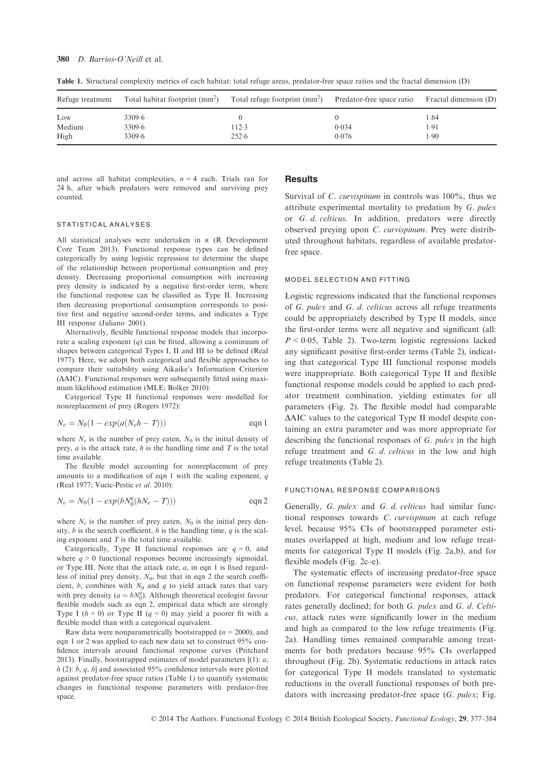| Refuge treatment | Total habitat footprint $\text{(mm}^2)$ | Total refuge footprint $\text{(mm)}^2$ | Predator-free space ratio | Fractal dimension (D) |  |
|------------------|-----------------------------------------|----------------------------------------|---------------------------|-----------------------|--|
| Low<br>Medium    | 3309.6<br>3309.6                        | 112.3                                  | 0.034                     | 1.84<br>1.91          |  |
| High             | 3309.6                                  | 252.6                                  | 0.076                     | 1.90                  |  |

Table 1. Structural complexity metrics of each habitat: total refuge areas, predator-free space ratios and the fractal dimension (D)

and across all habitat complexities,  $n = 4$  each. Trials ran for 24 h, after which predators were removed and surviving prey counted.

### STATISTICAL ANALYSES

All statistical analyses were undertaken in <sup>R</sup> (R Development Core Team 2013). Functional response types can be defined categorically by using logistic regression to determine the shape of the relationship between proportional consumption and prey density. Decreasing proportional consumption with increasing prey density is indicated by a negative first-order term, where the functional response can be classified as Type II. Increasing then decreasing proportional consumption corresponds to positive first and negative second-order terms, and indicates a Type III response (Juliano 2001).

Alternatively, flexible functional response models that incorporate a scaling exponent  $(q)$  can be fitted, allowing a continuum of shapes between categorical Types I, II and III to be defined (Real 1977). Here, we adopt both categorical and flexible approaches to compare their suitability using Aikaike's Information Criterion  $(\Delta AIC)$ . Functional responses were subsequently fitted using maximum likelihood estimation (MLE; Bolker 2010):

Categorical Type II functional responses were modelled for nonreplacement of prey (Rogers 1972):

$$
N_e = N_0(1 - exp(a(N_e h - T)))
$$
eqn 1

where  $N_e$  is the number of prey eaten,  $N_0$  is the initial density of prey,  $a$  is the attack rate,  $h$  is the handling time and  $T$  is the total time available.

The flexible model accounting for nonreplacement of prey amounts to a modification of eqn 1 with the scaling exponent,  $q$ (Real 1977; Vucic-Pestic et al. 2010):

$$
N_e = N_0(1 - exp(bN_0^q(hN_e - T)))
$$
eqn 2

where  $N_e$  is the number of prey eaten,  $N_0$  is the initial prey density,  $b$  is the search coefficient,  $h$  is the handling time,  $q$  is the scaling exponent and  $T$  is the total time available.

Categorically, Type II functional responses are  $q = 0$ , and where  $q > 0$  functional responses become increasingly sigmoidal, or Type III. Note that the attack rate,  $a$ , in eqn 1 is fixed regardless of initial prey density,  $N_0$ , but that in eqn 2 the search coefficient, b, combines with  $N_0$  and q to yield attack rates that vary with prey density ( $a = bN_0^q$ ). Although theoretical ecologist favour flexible models such as eqn 2, empirical data which are strongly Type I ( $h = 0$ ) or Type II ( $q = 0$ ) may yield a poorer fit with a flexible model than with a categorical equivalent.

Raw data were nonparametrically bootstrapped ( $n = 2000$ ), and eqn 1 or 2 was applied to each new data set to construct 95% confidence intervals around functional response curves (Pritchard 2013). Finally, bootstrapped estimates of model parameters  $[(1): a$ ,  $h$  (2):  $b$ ,  $q$ ,  $h$ ] and associated 95% confidence intervals were plotted against predator-free space ratios (Table 1) to quantify systematic changes in functional response parameters with predator-free space.

## **Results**

Survival of *C. curvispinum* in controls was 100%, thus we attribute experimental mortality to predation by G. pulex or G. d. celticus. In addition, predators were directly observed preying upon C. curvispinum. Prey were distributed throughout habitats, regardless of available predatorfree space.

#### MODEL SELECTION AND FITTING

Logistic regressions indicated that the functional responses of G. pulex and G. d. celticus across all refuge treatments could be appropriately described by Type II models, since the first-order terms were all negative and significant (all:  $P < 0.05$ , Table 2). Two-term logistic regressions lacked any significant positive first-order terms (Table 2), indicating that categorical Type III functional response models were inappropriate. Both categorical Type II and flexible functional response models could be applied to each predator treatment combination, yielding estimates for all parameters (Fig. 2). The flexible model had comparable  $\triangle AIC$  values to the categorical Type II model despite containing an extra parameter and was more appropriate for describing the functional responses of G. pulex in the high refuge treatment and G. d. celticus in the low and high refuge treatments (Table 2).

#### FUNCTIONAL RESPONSE COMPARISONS

Generally, G. pulex and G. d. celticus had similar functional responses towards C. curvispinum at each refuge level, because 95% CIs of bootstrapped parameter estimates overlapped at high, medium and low refuge treatments for categorical Type II models (Fig. 2a,b), and for flexible models (Fig. 2c–e).

The systematic effects of increasing predator-free space on functional response parameters were evident for both predators. For categorical functional responses, attack rates generally declined; for both G. pulex and G. d. Celticus, attack rates were significantly lower in the medium and high as compared to the low refuge treatments (Fig. 2a). Handling times remained comparable among treatments for both predators because 95% CIs overlapped throughout (Fig. 2b). Systematic reductions in attack rates for categorical Type II models translated to systematic reductions in the overall functional responses of both predators with increasing predator-free space (G. pulex; Fig.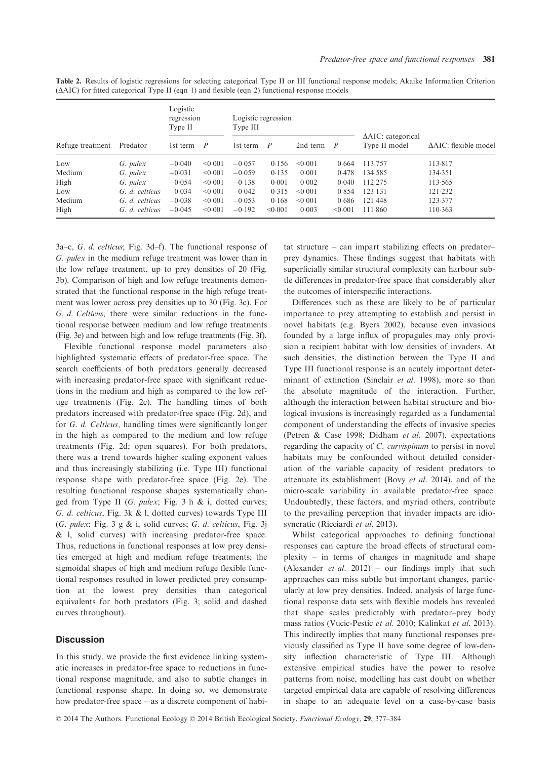| Refuge treatment | Predator       | Logistic<br>regression<br>Type II |         | Logistic regression<br>Type III |                |              |                |                                                |                                  |
|------------------|----------------|-----------------------------------|---------|---------------------------------|----------------|--------------|----------------|------------------------------------------------|----------------------------------|
|                  |                | 1st term                          | P       | 1st term                        | $\overline{P}$ | 2nd term     | $\overline{P}$ | $\triangle AIC$ : categorical<br>Type II model | $\triangle AIC$ : flexible model |
| Low              | G. pulex       | $-0.040$                          | < 0.001 | $-0.057$                        | 0.156          | < 0.001      | 0.664          | 113.757                                        | 113.817                          |
| Medium           | G. pulex       | $-0.031$                          | < 0.001 | $-0.059$                        | 0.135          | 0.001        | 0.478          | 134.585                                        | 134.351                          |
| High             | G. pulex       | $-0.054$                          | < 0.001 | $-0.138$                        | 0.001          | 0.002        | 0.040          | 112.275                                        | 113.565                          |
| Low              | G. d. celticus | $-0.034$                          | < 0.001 | $-0.042$                        | 0.315          | < 0.001      | 0.854          | 123.131                                        | 121.232                          |
| Medium           | G. d. celticus | $-0.038$                          | < 0.001 | $-0.053$                        | 0.168          | $\leq 0.001$ | 0.686          | 121.448                                        | 123.377                          |
| High             | G. d. celticus | $-0.045$                          | < 0.001 | $-0.192$                        | < 0.001        | 0.003        | < 0.001        | 111.860                                        | 110.363                          |

Table 2. Results of logistic regressions for selecting categorical Type II or III functional response models; Akaike Information Criterion  $(\Delta AIC)$  for fitted categorical Type II (eqn 1) and flexible (eqn 2) functional response models

3a–c, G. d. celticus; Fig. 3d–f). The functional response of G. pulex in the medium refuge treatment was lower than in the low refuge treatment, up to prey densities of 20 (Fig. 3b). Comparison of high and low refuge treatments demonstrated that the functional response in the high refuge treatment was lower across prey densities up to 30 (Fig. 3c). For G. d. Celticus, there were similar reductions in the functional response between medium and low refuge treatments (Fig. 3e) and between high and low refuge treatments (Fig. 3f).

Flexible functional response model parameters also highlighted systematic effects of predator-free space. The search coefficients of both predators generally decreased with increasing predator-free space with significant reductions in the medium and high as compared to the low refuge treatments (Fig. 2c). The handling times of both predators increased with predator-free space (Fig. 2d), and for G. d. Celticus, handling times were significantly longer in the high as compared to the medium and low refuge treatments (Fig. 2d; open squares). For both predators, there was a trend towards higher scaling exponent values and thus increasingly stabilizing (i.e. Type III) functional response shape with predator-free space (Fig. 2e). The resulting functional response shapes systematically changed from Type II (G. pulex; Fig. 3 h & i, dotted curves; G. d. celticus, Fig. 3k & l, dotted curves) towards Type III (G. pulex; Fig. 3 g & i, solid curves; G. d. celticus, Fig. 3j & l, solid curves) with increasing predator-free space. Thus, reductions in functional responses at low prey densities emerged at high and medium refuge treatments; the sigmoidal shapes of high and medium refuge flexible functional responses resulted in lower predicted prey consumption at the lowest prey densities than categorical equivalents for both predators (Fig. 3; solid and dashed curves throughout).

## **Discussion**

In this study, we provide the first evidence linking systematic increases in predator-free space to reductions in functional response magnitude, and also to subtle changes in functional response shape. In doing so, we demonstrate how predator-free space – as a discrete component of habitat structure – can impart stabilizing effects on predator– prey dynamics. These findings suggest that habitats with superficially similar structural complexity can harbour subtle differences in predator-free space that considerably alter the outcomes of interspecific interactions.

Differences such as these are likely to be of particular importance to prey attempting to establish and persist in novel habitats (e.g. Byers 2002), because even invasions founded by a large influx of propagules may only provision a recipient habitat with low densities of invaders. At such densities, the distinction between the Type II and Type III functional response is an acutely important determinant of extinction (Sinclair et al. 1998), more so than the absolute magnitude of the interaction. Further, although the interaction between habitat structure and biological invasions is increasingly regarded as a fundamental component of understanding the effects of invasive species (Petren & Case 1998; Didham et al. 2007), expectations regarding the capacity of C. curvispinum to persist in novel habitats may be confounded without detailed consideration of the variable capacity of resident predators to attenuate its establishment (Bovy et al. 2014), and of the micro-scale variability in available predator-free space. Undoubtedly, these factors, and myriad others, contribute to the prevailing perception that invader impacts are idiosyncratic (Ricciardi et al. 2013).

Whilst categorical approaches to defining functional responses can capture the broad effects of structural complexity – in terms of changes in magnitude and shape (Alexander *et al.* 2012) – our findings imply that such approaches can miss subtle but important changes, particularly at low prey densities. Indeed, analysis of large functional response data sets with flexible models has revealed that shape scales predictably with predator–prey body mass ratios (Vucic-Pestic et al. 2010; Kalinkat et al. 2013). This indirectly implies that many functional responses previously classified as Type II have some degree of low-density inflection characteristic of Type III. Although extensive empirical studies have the power to resolve patterns from noise, modelling has cast doubt on whether targeted empirical data are capable of resolving differences in shape to an adequate level on a case-by-case basis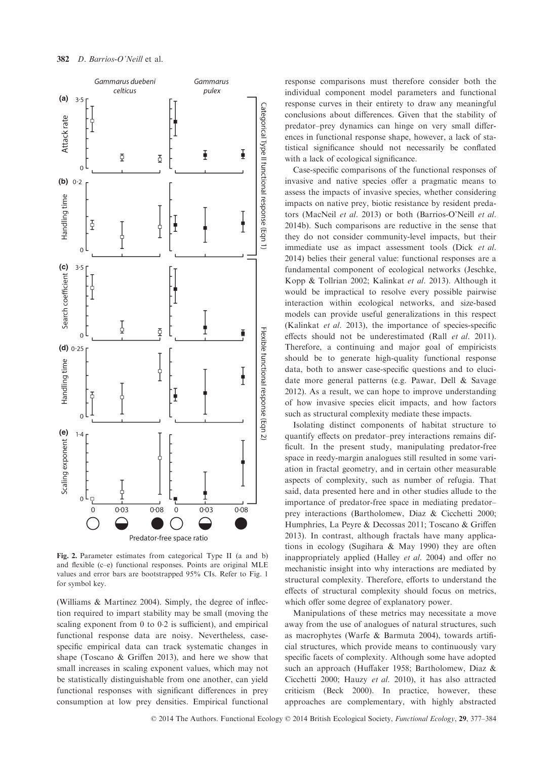

Fig. 2. Parameter estimates from categorical Type II (a and b) and flexible (c–e) functional responses. Points are original MLE values and error bars are bootstrapped 95% CIs. Refer to Fig. 1 for symbol key.

(Williams & Martinez 2004). Simply, the degree of inflection required to impart stability may be small (moving the scaling exponent from 0 to 02 is sufficient), and empirical functional response data are noisy. Nevertheless, casespecific empirical data can track systematic changes in shape (Toscano & Griffen 2013), and here we show that small increases in scaling exponent values, which may not be statistically distinguishable from one another, can yield functional responses with significant differences in prey consumption at low prey densities. Empirical functional

response comparisons must therefore consider both the individual component model parameters and functional response curves in their entirety to draw any meaningful conclusions about differences. Given that the stability of predator–prey dynamics can hinge on very small differences in functional response shape, however, a lack of statistical significance should not necessarily be conflated with a lack of ecological significance.

Case-specific comparisons of the functional responses of invasive and native species offer a pragmatic means to assess the impacts of invasive species, whether considering impacts on native prey, biotic resistance by resident predators (MacNeil et al. 2013) or both (Barrios-O'Neill et al. 2014b). Such comparisons are reductive in the sense that they do not consider community-level impacts, but their immediate use as impact assessment tools (Dick et al. 2014) belies their general value: functional responses are a fundamental component of ecological networks (Jeschke, Kopp & Tollrian 2002; Kalinkat et al. 2013). Although it would be impractical to resolve every possible pairwise interaction within ecological networks, and size-based models can provide useful generalizations in this respect (Kalinkat et al. 2013), the importance of species-specific effects should not be underestimated (Rall et al. 2011). Therefore, a continuing and major goal of empiricists should be to generate high-quality functional response data, both to answer case-specific questions and to elucidate more general patterns (e.g. Pawar, Dell & Savage 2012). As a result, we can hope to improve understanding of how invasive species elicit impacts, and how factors such as structural complexity mediate these impacts.

Isolating distinct components of habitat structure to quantify effects on predator–prey interactions remains difficult. In the present study, manipulating predator-free space in reedy-margin analogues still resulted in some variation in fractal geometry, and in certain other measurable aspects of complexity, such as number of refugia. That said, data presented here and in other studies allude to the importance of predator-free space in mediating predator– prey interactions (Bartholomew, Diaz & Cicchetti 2000; Humphries, La Peyre & Decossas 2011; Toscano & Griffen 2013). In contrast, although fractals have many applications in ecology (Sugihara & May 1990) they are often inappropriately applied (Halley et al. 2004) and offer no mechanistic insight into why interactions are mediated by structural complexity. Therefore, efforts to understand the effects of structural complexity should focus on metrics, which offer some degree of explanatory power.

Manipulations of these metrics may necessitate a move away from the use of analogues of natural structures, such as macrophytes (Warfe & Barmuta 2004), towards artificial structures, which provide means to continuously vary specific facets of complexity. Although some have adopted such an approach (Huffaker 1958; Bartholomew, Diaz & Cicchetti 2000; Hauzy et al. 2010), it has also attracted criticism (Beck 2000). In practice, however, these approaches are complementary, with highly abstracted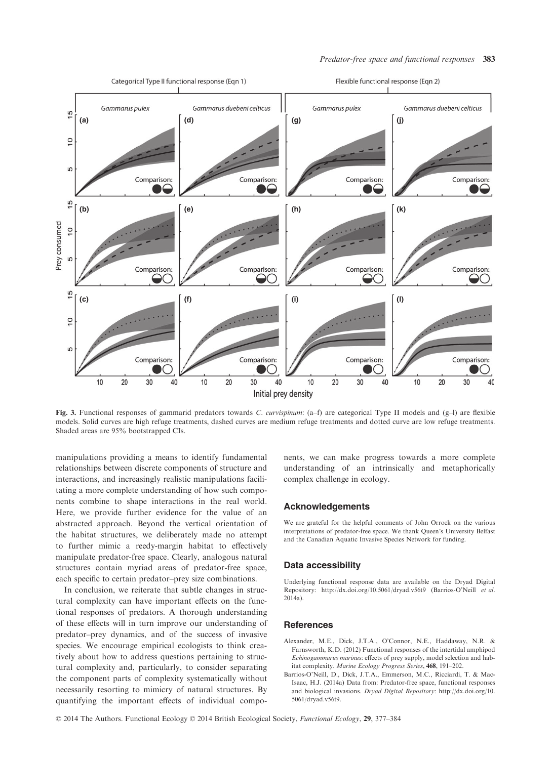

Fig. 3. Functional responses of gammarid predators towards C. curvispinum: (a–f) are categorical Type II models and (g–l) are flexible models. Solid curves are high refuge treatments, dashed curves are medium refuge treatments and dotted curve are low refuge treatments. Shaded areas are 95% bootstrapped CIs.

manipulations providing a means to identify fundamental relationships between discrete components of structure and interactions, and increasingly realistic manipulations facilitating a more complete understanding of how such components combine to shape interactions in the real world. Here, we provide further evidence for the value of an abstracted approach. Beyond the vertical orientation of the habitat structures, we deliberately made no attempt to further mimic a reedy-margin habitat to effectively manipulate predator-free space. Clearly, analogous natural structures contain myriad areas of predator-free space, each specific to certain predator–prey size combinations.

In conclusion, we reiterate that subtle changes in structural complexity can have important effects on the functional responses of predators. A thorough understanding of these effects will in turn improve our understanding of predator–prey dynamics, and of the success of invasive species. We encourage empirical ecologists to think creatively about how to address questions pertaining to structural complexity and, particularly, to consider separating the component parts of complexity systematically without necessarily resorting to mimicry of natural structures. By quantifying the important effects of individual components, we can make progress towards a more complete understanding of an intrinsically and metaphorically complex challenge in ecology.

## Acknowledgements

We are grateful for the helpful comments of John Orrock on the various interpretations of predator-free space. We thank Queen's University Belfast and the Canadian Aquatic Invasive Species Network for funding.

#### Data accessibility

Underlying functional response data are available on the Dryad Digital Repository: http://dx.doi.org/10.5061/dryad.v56t9 (Barrios-O'Neill et al. 2014a).

#### **References**

- Alexander, M.E., Dick, J.T.A., O'Connor, N.E., Haddaway, N.R. & Farnsworth, K.D. (2012) Functional responses of the intertidal amphipod Echinogammarus marinus: effects of prey supply, model selection and habitat complexity. Marine Ecology Progress Series, 468, 191–202.
- Barrios-O'Neill, D., Dick, J.T.A., Emmerson, M.C., Ricciardi, T. & Mac-Isaac, H.J. (2014a) Data from: Predator-free space, functional responses and biological invasions. Dryad Digital Repository: http://dx.doi.org/10. 5061/dryad.v56t9.